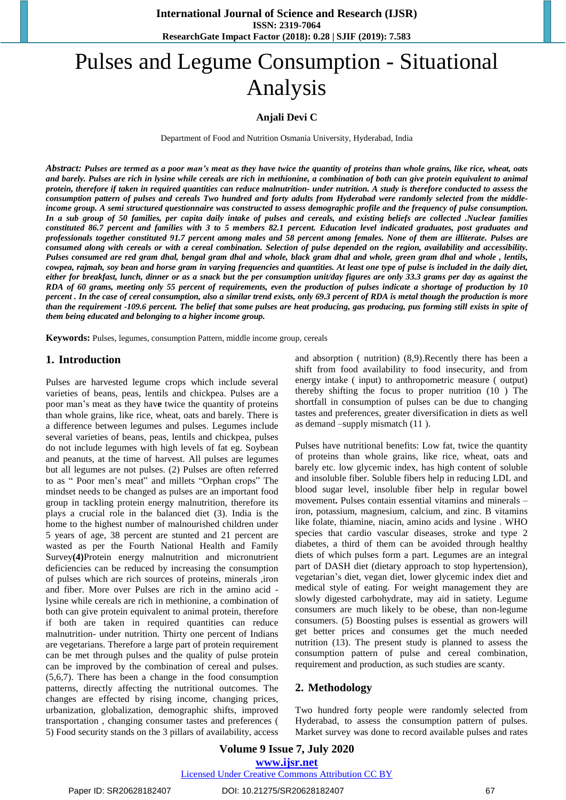# Pulses and Legume Consumption - Situational Analysis

## **Anjali Devi C**

Department of Food and Nutrition Osmania University, Hyderabad, India

Abstract: Pulses are termed as a poor man's meat as they have twice the quantity of proteins than whole grains, like rice, wheat, oats and barely. Pulses are rich in lysine while cereals are rich in methionine, a combination of both can give protein equivalent to animal protein, therefore if taken in required quantities can reduce malnutrition- under nutrition. A study is therefore conducted to assess the consumption pattern of pulses and cereals Two hundred and forty adults from Hyderabad were randomly selected from the middleincome group. A semi structured questionnaire was constructed to assess demographic profile and the frequency of pulse consumption. In a sub group of 50 families, per capita daily intake of pulses and cereals, and existing beliefs are collected .Nuclear families constituted 86.7 percent and families with 3 to 5 members 82.1 percent. Education level indicated graduates, post graduates and professionals together constituted 91.7 percent among males and 58 percent among females. None of them are illiterate. Pulses are consumed along with cereals or with a cereal combination. Selection of pulse depended on the region, availability and accessibility. Pulses consumed are red gram dhal, bengal gram dhal and whole, black gram dhal and whole, green gram dhal and whole, lentils, cowpea, rajmah, soy bean and horse gram in varying frequencies and quantities. At least one type of pulse is included in the daily diet, either for breakfast, lunch, dinner or as a snack but the per consumption unit/day figures are only 33.3 grams per day as against the RDA of 60 grams, meeting only 55 percent of requirements, even the production of pulses indicate a shortage of production by 10 percent. In the case of cereal consumption, also a similar trend exists, only 69.3 percent of RDA is metal though the production is more than the requirement -109.6 percent. The belief that some pulses are heat producing, gas producing, pus forming still exists in spite of *them being educated and belonging to a higher income group.*

**Keywords:** Pulses, legumes, consumption Pattern, middle income group, cereals

# **1. Introduction**

Pulses are harvested legume crops which include several varieties of beans, peas, lentils and chickpea. Pulses are a poor man's meat as they hav**e** twice the quantity of proteins than whole grains, like rice, wheat, oats and barely. There is a difference between legumes and pulses. Legumes include several varieties of beans, peas, lentils and chickpea, pulses do not include legumes with high levels of fat eg. Soybean and peanuts, at the time of harvest. All pulses are legumes but all legumes are not pulses. (2) Pulses are often referred to as " Poor men's meat" and millets "Orphan crops" The mindset needs to be changed as pulses are an important food group in tackling protein energy malnutrition, therefore its plays a crucial role in the balanced diet (3). India is the home to the highest number of malnourished children under 5 years of age, 38 percent are stunted and 21 percent are wasted as per the Fourth National Health and Family Survey**(4)**Protein energy malnutrition and micronutrient deficiencies can be reduced by increasing the consumption of pulses which are rich sources of proteins, minerals ,iron and fiber. More over Pulses are rich in the amino acid lysine while cereals are rich in methionine, a combination of both can give protein equivalent to animal protein, therefore if both are taken in required quantities can reduce malnutrition- under nutrition. Thirty one percent of Indians are vegetarians. Therefore a large part of protein requirement can be met through pulses and the quality of pulse protein can be improved by the combination of cereal and pulses. (5,6,7). There has been a change in the food consumption patterns, directly affecting the nutritional outcomes. The changes are effected by rising income, changing prices, urbanization, globalization, demographic shifts, improved transportation , changing consumer tastes and preferences ( 5) Food security stands on the 3 pillars of availability, access and absorption ( nutrition) (8,9).Recently there has been a shift from food availability to food insecurity, and from energy intake ( input) to anthropometric measure ( output) thereby shifting the focus to proper nutrition (10 ) The shortfall in consumption of pulses can be due to changing tastes and preferences, greater diversification in diets as well as demand –supply mismatch (11 ).

Pulses have nutritional benefits: Low fat, twice the quantity of proteins than whole grains, like rice, wheat, oats and barely etc. low glycemic index, has high content of soluble and insoluble fiber. Soluble fibers help in reducing LDL and blood sugar level, insoluble fiber help in regular bowel movement**.** Pulses contain essential vitamins and minerals – iron, potassium, magnesium, calcium, and zinc. B vitamins like folate, thiamine, niacin, amino acids and lysine . WHO species that cardio vascular diseases, stroke and type 2 diabetes, a third of them can be avoided through healthy diets of which pulses form a part. Legumes are an integral part of DASH diet (dietary approach to stop hypertension), vegetarian's diet, vegan diet, lower glycemic index diet and medical style of eating. For weight management they are slowly digested carbohydrate, may aid in satiety. Legume consumers are much likely to be obese, than non-legume consumers. (5) Boosting pulses is essential as growers will get better prices and consumes get the much needed nutrition (13). The present study is planned to assess the consumption pattern of pulse and cereal combination, requirement and production, as such studies are scanty.

## **2. Methodology**

Two hundred forty people were randomly selected from Hyderabad, to assess the consumption pattern of pulses. Market survey was done to record available pulses and rates

## **Volume 9 Issue 7, July 2020 www.ijsr.net** Licensed Under Creative Commons Attribution CC BY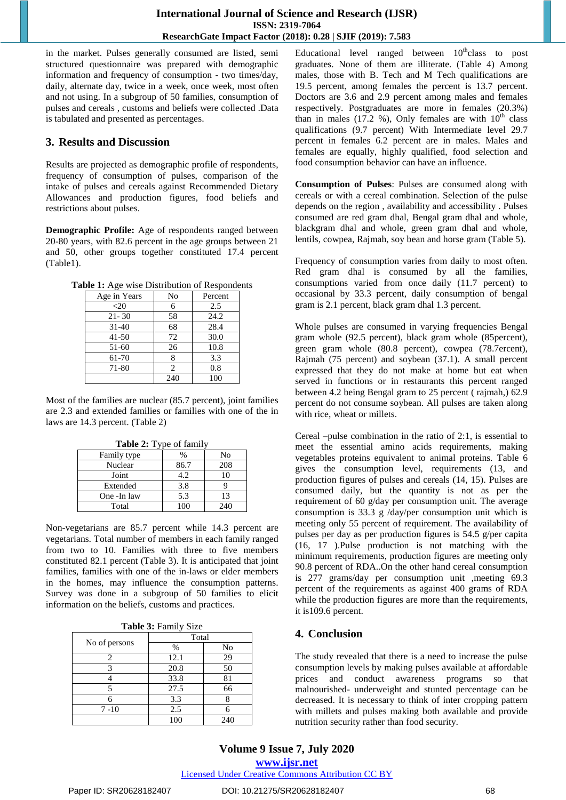in the market. Pulses generally consumed are listed, semi structured questionnaire was prepared with demographic information and frequency of consumption - two times/day, daily, alternate day, twice in a week, once week, most often and not using. In a subgroup of 50 families, consumption of pulses and cereals , customs and beliefs were collected .Data is tabulated and presented as percentages.

# **3. Results and Discussion**

Results are projected as demographic profile of respondents, frequency of consumption of pulses, comparison of the intake of pulses and cereals against Recommended Dietary Allowances and production figures, food beliefs and restrictions about pulses.

**Demographic Profile:** Age of respondents ranged between 20-80 years, with 82.6 percent in the age groups between 21 and 50, other groups together constituted 17.4 percent (Table1).

**Table 1:** Age wise Distribution of Respondents

| Age in Years | No  | Percent |
|--------------|-----|---------|
| ${<}20$      | 6   | 2.5     |
| $21 - 30$    | 58  | 24.2    |
| $31 - 40$    | 68  | 28.4    |
| $41 - 50$    | 72  | 30.0    |
| $51-60$      | 26  | 10.8    |
| 61-70        | 8   | 3.3     |
| 71-80        | 2   | 0.8     |
|              | 240 | 100     |

Most of the families are nuclear (85.7 percent), joint families are 2.3 and extended families or families with one of the in laws are 14.3 percent. (Table 2)

| <b>Table 2:</b> Type of family |      |     |
|--------------------------------|------|-----|
| Family type                    | %    | No  |
| Nuclear                        | 86.7 | 208 |
| Joint                          | 4.2  | 10  |
| Extended                       | 3.8  | g   |
| One -In law                    | 5.3  | 13  |
| Total                          |      | 240 |

Non-vegetarians are 85.7 percent while 14.3 percent are vegetarians. Total number of members in each family ranged from two to 10. Families with three to five members constituted 82.1 percent (Table 3). It is anticipated that joint families, families with one of the in-laws or elder members in the homes, may influence the consumption patterns. Survey was done in a subgroup of 50 families to elicit information on the beliefs, customs and practices.

| Table 3: Family Size |  |  |
|----------------------|--|--|
|----------------------|--|--|

|                | Total |     |  |  |
|----------------|-------|-----|--|--|
| No of persons  | %     | No  |  |  |
| $\mathfrak{D}$ | 12.1  | 29  |  |  |
|                | 20.8  | 50  |  |  |
|                | 33.8  | 81  |  |  |
|                | 27.5  | 66  |  |  |
|                | 3.3   |     |  |  |
| $7 - 10$       | 2.5   |     |  |  |
|                | 100   | 240 |  |  |

Educational level ranged between  $10^{th}$ class to post graduates. None of them are illiterate. (Table 4) Among males, those with B. Tech and M Tech qualifications are 19.5 percent, among females the percent is 13.7 percent. Doctors are 3.6 and 2.9 percent among males and females respectively. Postgraduates are more in females (20.3%) than in males (17.2 %), Only females are with  $10^{th}$  class qualifications (9.7 percent) With Intermediate level 29.7 percent in females 6.2 percent are in males. Males and females are equally, highly qualified, food selection and food consumption behavior can have an influence.

**Consumption of Pulses**: Pulses are consumed along with cereals or with a cereal combination. Selection of the pulse depends on the region , availability and accessibility . Pulses consumed are red gram dhal, Bengal gram dhal and whole, blackgram dhal and whole, green gram dhal and whole, lentils, cowpea, Rajmah, soy bean and horse gram (Table 5).

Frequency of consumption varies from daily to most often. Red gram dhal is consumed by all the families, consumptions varied from once daily (11.7 percent) to occasional by 33.3 percent, daily consumption of bengal gram is 2.1 percent, black gram dhal 1.3 percent.

Whole pulses are consumed in varying frequencies Bengal gram whole (92.5 percent), black gram whole (85percent), green gram whole (80.8 percent), cowpea (78.7ercent), Rajmah (75 percent) and soybean (37.1). A small percent expressed that they do not make at home but eat when served in functions or in restaurants this percent ranged between 4.2 being Bengal gram to 25 percent ( rajmah,) 62.9 percent do not consume soybean. All pulses are taken along with rice, wheat or millets.

Cereal –pulse combination in the ratio of 2:1, is essential to meet the essential amino acids requirements, making vegetables proteins equivalent to animal proteins. Table 6 gives the consumption level, requirements (13, and production figures of pulses and cereals (14, 15). Pulses are consumed daily, but the quantity is not as per the requirement of 60 g/day per consumption unit. The average consumption is 33.3 g /day/per consumption unit which is meeting only 55 percent of requirement. The availability of pulses per day as per production figures is 54.5 g/per capita (16, 17 ).Pulse production is not matching with the minimum requirements, production figures are meeting only 90.8 percent of RDA..On the other hand cereal consumption is 277 grams/day per consumption unit ,meeting 69.3 percent of the requirements as against 400 grams of RDA while the production figures are more than the requirements, it is109.6 percent.

# **4. Conclusion**

The study revealed that there is a need to increase the pulse consumption levels by making pulses available at affordable prices and conduct awareness programs so that malnourished- underweight and stunted percentage can be decreased. It is necessary to think of inter cropping pattern with millets and pulses making both available and provide nutrition security rather than food security.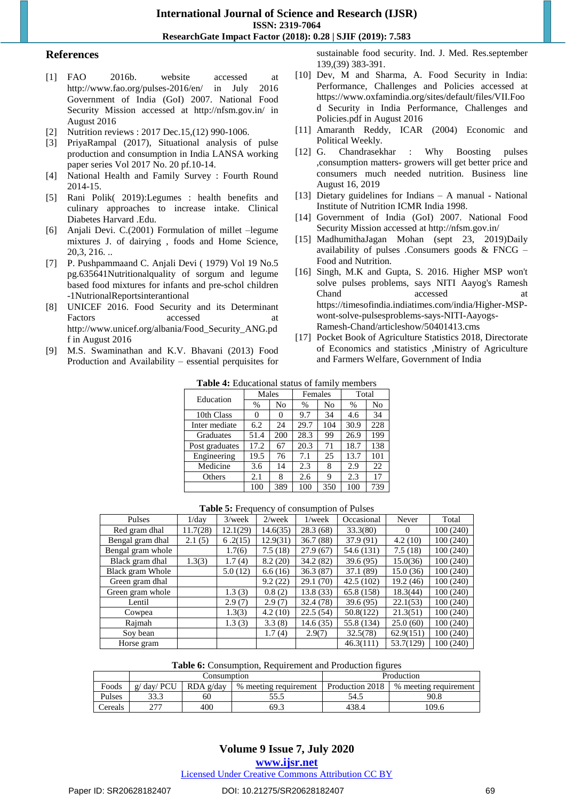**International Journal of Science and Research (IJSR) ISSN: 2319-7064 ResearchGate Impact Factor (2018): 0.28 | SJIF (2019): 7.583**

#### **References**

- [1] FAO 2016b. website accessed at http://www.fao.org/pulses-2016/en/ in July 2016 Government of India (GoI) 2007. National Food Security Mission accessed at http://nfsm.gov.in/ in August 2016
- [2] Nutrition reviews : 2017 Dec.15,(12) 990-1006.
- [3] PriyaRampal (2017), Situational analysis of pulse production and consumption in India LANSA working paper series Vol 2017 No. 20 pf.10-14.
- [4] National Health and Family Survey : Fourth Round 2014-15.
- [5] Rani Polik( 2019):Legumes : health benefits and culinary approaches to increase intake. Clinical Diabetes Harvard .Edu.
- [6] Anjali Devi. C.(2001) Formulation of millet –legume mixtures J. of dairying , foods and Home Science, 20,3, 216. ..
- [7] P. Pushpammaand C. Anjali Devi ( 1979) Vol 19 No.5 pg.635641Nutritionalquality of sorgum and legume based food mixtures for infants and pre-schol children -1NutrionalReportsinterantional
- [8] UNICEF 2016. Food Security and its Determinant Factors accessed at [http://www.unicef.org/albania/Food\\_Security\\_ANG.pd](http://www.unicef.org/albania/Food_Security_ANG.pdf%20in%20August%202016) f in [August](http://www.unicef.org/albania/Food_Security_ANG.pdf%20in%20August%202016) 2016
- [9] M.S. Swaminathan and K.V. Bhavani (2013) Food Production and Availability – essential perquisites for

sustainable food security. Ind. J. Med. Res.september 139,(39) 383-391.

- [10] Dev, M and Sharma, A. Food Security in India: Performance, Challenges and Policies accessed at [https://www.oxfamindia.org/sites/default/files/VII.Foo](https://www.oxfamindia.org/sites/default/files/VII.Food%20Security%20in%20India%20%20Performance,%20Challenges%20and) d Security in India [Performance,](https://www.oxfamindia.org/sites/default/files/VII.Food%20Security%20in%20India%20%20Performance,%20Challenges%20and) Challenges and Policies.pdf in August 2016
- [11] Amaranth Reddy, ICAR (2004) Economic and Political Weekly.
- [12] G. Chandrasekhar : Why Boosting pulses ,consumption matters- growers will get better price and consumers much needed nutrition. Business line August 16, 2019
- [13] Dietary guidelines for Indians A manual National Institute of Nutrition ICMR India 1998.
- [14] Government of India (GoI) 2007. National Food Security Mission accessed at http://nfsm.gov.in/
- [15] MadhumithaJagan Mohan (sept 23, 2019)Daily availability of pulses .Consumers goods  $& FNCG -$ Food and Nutrition.
- [16] Singh, M.K and Gupta, S. 2016. Higher MSP won't solve pulses problems, says NITI Aayog's Ramesh Chand accessed at [https://timesofindia.indiatimes.com/india/Higher-MSP](https://timesofindia.indiatimes.com/india/Higher-MSP-wont-solve-pulsesproblems-says-NITI-Aayogs-Ramesh-Chand/articleshow/50401413.cms)[wont-solve-pulsesproblems-says-NITI-Aayogs-](https://timesofindia.indiatimes.com/india/Higher-MSP-wont-solve-pulsesproblems-says-NITI-Aayogs-Ramesh-Chand/articleshow/50401413.cms)[Ramesh-Chand/articleshow/50401413.cms](https://timesofindia.indiatimes.com/india/Higher-MSP-wont-solve-pulsesproblems-says-NITI-Aayogs-Ramesh-Chand/articleshow/50401413.cms)
- [17] Pocket Book of Agriculture Statistics 2018, Directorate of Economics and statistics ,Ministry of Agriculture and Farmers Welfare, Government of India

| <b>Table 4:</b> Educational status of family members |  |  |  |
|------------------------------------------------------|--|--|--|
|------------------------------------------------------|--|--|--|

| Education      | Males |     | Females |     | Total |     |
|----------------|-------|-----|---------|-----|-------|-----|
|                | %     | No  | %       | No  | %     | No  |
| 10th Class     | 0     |     | 9.7     | 34  | 4.6   | 34  |
| Inter mediate  | 6.2   | 24  | 29.7    | 104 | 30.9  | 228 |
| Graduates      | 51.4  | 200 | 28.3    | 99  | 26.9  | 199 |
| Post graduates | 17.2  | 67  | 20.3    | 71  | 18.7  | 138 |
| Engineering    | 19.5  | 76  | 7.1     | 25  | 13.7  | 101 |
| Medicine       | 3.6   | 14  | 2.3     | 8   | 2.9   | 22  |
| Others         | 2.1   | 8   | 2.6     | Q   | 2.3   | 17  |
|                | 100   | 389 | 100     | 350 | 100   | 739 |

#### **Table 5:** Frequency of consumption of Pulses

| Pulses            | 1/dav    | $3$ /week | $2$ /week | $1$ /wee $k$ | Occasional | Never     | Total    |
|-------------------|----------|-----------|-----------|--------------|------------|-----------|----------|
| Red gram dhal     | 11.7(28) | 12.1(29)  | 14.6(35)  | 28.3(68)     | 33.3(80)   | $\Omega$  | 100(240) |
| Bengal gram dhal  | 2.1(5)   | 6.2(15)   | 12.9(31)  | 36.7(88)     | 37.9 (91)  | 4.2(10)   | 100(240) |
| Bengal gram whole |          | 1.7(6)    | 7.5(18)   | 27.9(67)     | 54.6 (131) | 7.5(18)   | 100(240) |
| Black gram dhal   | 1.3(3)   | 1.7(4)    | 8.2(20)   | 34.2(82)     | 39.6(95)   | 15.0(36)  | 100(240) |
| Black gram Whole  |          | 5.0(12)   | 6.6(16)   | 36.3(87)     | 37.1 (89)  | 15.0(36)  | 100(240) |
| Green gram dhal   |          |           | 9.2(22)   | 29.1(70)     | 42.5(102)  | 19.2 (46) | 100(240) |
| Green gram whole  |          | 1.3(3)    | 0.8(2)    | 13.8(33)     | 65.8 (158) | 18.3(44)  | 100(240) |
| Lentil            |          | 2.9(7)    | 2.9(7)    | 32.4 (78)    | 39.6(95)   | 22.1(53)  | 100(240) |
| Cowpea            |          | 1.3(3)    | 4.2(10)   | 22.5(54)     | 50.8(122)  | 21.3(51)  | 100(240) |
| Rajmah            |          | 1.3(3)    | 3.3(8)    | 14.6 (35)    | 55.8 (134) | 25.0(60)  | 100(240) |
| Soy bean          |          |           | 1.7(4)    | 2.9(7)       | 32.5(78)   | 62.9(151) | 100(240) |
| Horse gram        |          |           |           |              | 46.3(111)  | 53.7(129) | 100(240) |

**Table 6:** Consumption, Requirement and Production figures

|         | Consumption                                       |     |                                          | Production |       |  |
|---------|---------------------------------------------------|-----|------------------------------------------|------------|-------|--|
| Foods   | $g$ day PCU<br>RDA g/day<br>% meeting requirement |     | Production 2018<br>% meeting requirement |            |       |  |
| Pulses  | 33.3                                              | 60  | 33.3                                     | 54.5       | 90.8  |  |
| Cereals | ריר                                               | 400 | 69.3                                     | 438.4      | 109.6 |  |

## **Volume 9 Issue 7, July 2020 www.ijsr.net** Licensed Under Creative Commons Attribution CC BY